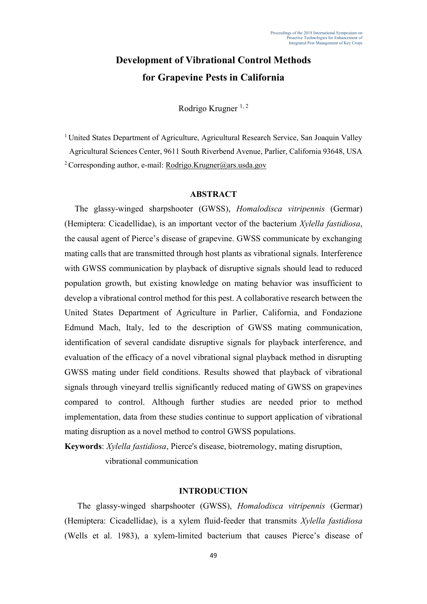# **Development of Vibrational Control Methods for Grapevine Pests in California**

Rodrigo Krugner  $1, 2$ 

<sup>1</sup> United States Department of Agriculture, Agricultural Research Service, San Joaquin Valley Agricultural Sciences Center, 9611 South Riverbend Avenue, Parlier, California 93648, USA <sup>2</sup> Corresponding author, e-mail: Rodrigo.Krugner@ars.usda.gov

### **ABSTRACT**

The glassy-winged sharpshooter (GWSS), *Homalodisca vitripennis* (Germar) (Hemiptera: Cicadellidae), is an important vector of the bacterium *Xylella fastidiosa*, the causal agent of Pierce's disease of grapevine. GWSS communicate by exchanging mating calls that are transmitted through host plants as vibrational signals. Interference with GWSS communication by playback of disruptive signals should lead to reduced population growth, but existing knowledge on mating behavior was insufficient to develop a vibrational control method for this pest. A collaborative research between the United States Department of Agriculture in Parlier, California, and Fondazione Edmund Mach, Italy, led to the description of GWSS mating communication, identification of several candidate disruptive signals for playback interference, and evaluation of the efficacy of a novel vibrational signal playback method in disrupting GWSS mating under field conditions. Results showed that playback of vibrational signals through vineyard trellis significantly reduced mating of GWSS on grapevines compared to control. Although further studies are needed prior to method implementation, data from these studies continue to support application of vibrational mating disruption as a novel method to control GWSS populations.

**Keywords**: *Xylella fastidiosa*, Pierce's disease, biotremology, mating disruption, vibrational communication

#### **INTRODUCTION**

The glassy-winged sharpshooter (GWSS), *Homalodisca vitripennis* (Germar) (Hemiptera: Cicadellidae), is a xylem fluid-feeder that transmits *Xylella fastidiosa* (Wells et al. 1983), a xylem-limited bacterium that causes Pierce's disease of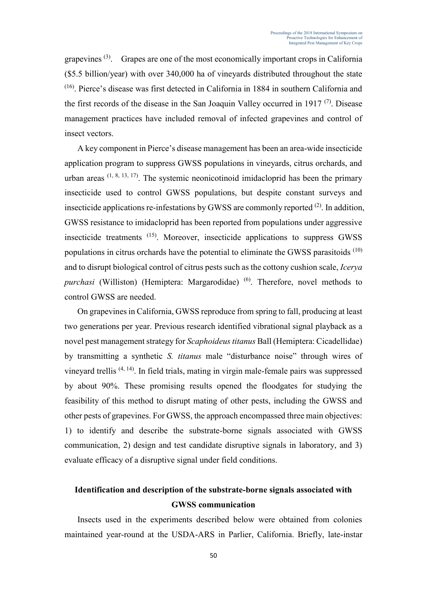grapevines (3). Grapes are one of the most economically important crops in California (\$5.5 billion/year) with over 340,000 ha of vineyards distributed throughout the state (16). Pierce's disease was first detected in California in 1884 in southern California and the first records of the disease in the San Joaquin Valley occurred in 1917 $(7)$ . Disease management practices have included removal of infected grapevines and control of insect vectors.

A key component in Pierce's disease management has been an area-wide insecticide application program to suppress GWSS populations in vineyards, citrus orchards, and urban areas  $(1, 8, 13, 17)$ . The systemic neonicotinoid imidacloprid has been the primary insecticide used to control GWSS populations, but despite constant surveys and insecticide applications re-infestations by GWSS are commonly reported  $(2)$ . In addition, GWSS resistance to imidacloprid has been reported from populations under aggressive insecticide treatments (15). Moreover, insecticide applications to suppress GWSS populations in citrus orchards have the potential to eliminate the GWSS parasitoids (10) and to disrupt biological control of citrus pests such as the cottony cushion scale, *Icerya purchasi* (Williston) (Hemiptera: Margarodidae)<sup>(6)</sup>. Therefore, novel methods to control GWSS are needed.

On grapevines in California, GWSS reproduce from spring to fall, producing at least two generations per year. Previous research identified vibrational signal playback as a novel pest management strategy for *Scaphoideus titanus* Ball (Hemiptera: Cicadellidae) by transmitting a synthetic *S. titanus* male "disturbance noise" through wires of vineyard trellis (4, 14). In field trials, mating in virgin male-female pairs was suppressed by about 90%. These promising results opened the floodgates for studying the feasibility of this method to disrupt mating of other pests, including the GWSS and other pests of grapevines. For GWSS, the approach encompassed three main objectives: 1) to identify and describe the substrate-borne signals associated with GWSS communication, 2) design and test candidate disruptive signals in laboratory, and 3) evaluate efficacy of a disruptive signal under field conditions.

## **Identification and description of the substrate-borne signals associated with GWSS communication**

Insects used in the experiments described below were obtained from colonies maintained year-round at the USDA-ARS in Parlier, California. Briefly, late-instar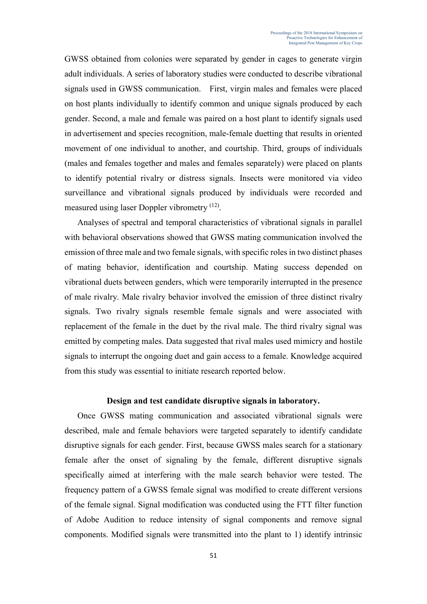GWSS obtained from colonies were separated by gender in cages to generate virgin adult individuals. A series of laboratory studies were conducted to describe vibrational signals used in GWSS communication. First, virgin males and females were placed on host plants individually to identify common and unique signals produced by each gender. Second, a male and female was paired on a host plant to identify signals used in advertisement and species recognition, male-female duetting that results in oriented movement of one individual to another, and courtship. Third, groups of individuals (males and females together and males and females separately) were placed on plants to identify potential rivalry or distress signals. Insects were monitored via video surveillance and vibrational signals produced by individuals were recorded and measured using laser Doppler vibrometry <sup>(12)</sup>.

Analyses of spectral and temporal characteristics of vibrational signals in parallel with behavioral observations showed that GWSS mating communication involved the emission of three male and two female signals, with specific roles in two distinct phases of mating behavior, identification and courtship. Mating success depended on vibrational duets between genders, which were temporarily interrupted in the presence of male rivalry. Male rivalry behavior involved the emission of three distinct rivalry signals. Two rivalry signals resemble female signals and were associated with replacement of the female in the duet by the rival male. The third rivalry signal was emitted by competing males. Data suggested that rival males used mimicry and hostile signals to interrupt the ongoing duet and gain access to a female. Knowledge acquired from this study was essential to initiate research reported below.

#### **Design and test candidate disruptive signals in laboratory.**

Once GWSS mating communication and associated vibrational signals were described, male and female behaviors were targeted separately to identify candidate disruptive signals for each gender. First, because GWSS males search for a stationary female after the onset of signaling by the female, different disruptive signals specifically aimed at interfering with the male search behavior were tested. The frequency pattern of a GWSS female signal was modified to create different versions of the female signal. Signal modification was conducted using the FTT filter function of Adobe Audition to reduce intensity of signal components and remove signal components. Modified signals were transmitted into the plant to 1) identify intrinsic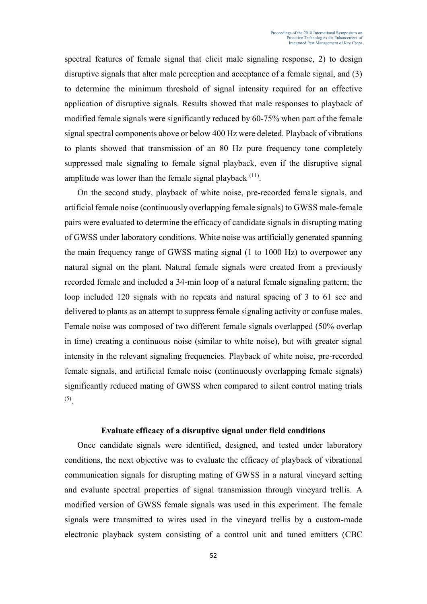spectral features of female signal that elicit male signaling response, 2) to design disruptive signals that alter male perception and acceptance of a female signal, and (3) to determine the minimum threshold of signal intensity required for an effective application of disruptive signals. Results showed that male responses to playback of modified female signals were significantly reduced by 60-75% when part of the female signal spectral components above or below 400 Hz were deleted. Playback of vibrations to plants showed that transmission of an 80 Hz pure frequency tone completely suppressed male signaling to female signal playback, even if the disruptive signal amplitude was lower than the female signal playback  $(11)$ .

On the second study, playback of white noise, pre-recorded female signals, and artificial female noise (continuously overlapping female signals) to GWSS male-female pairs were evaluated to determine the efficacy of candidate signals in disrupting mating of GWSS under laboratory conditions. White noise was artificially generated spanning the main frequency range of GWSS mating signal (1 to 1000 Hz) to overpower any natural signal on the plant. Natural female signals were created from a previously recorded female and included a 34-min loop of a natural female signaling pattern; the loop included 120 signals with no repeats and natural spacing of 3 to 61 sec and delivered to plants as an attempt to suppress female signaling activity or confuse males. Female noise was composed of two different female signals overlapped (50% overlap in time) creating a continuous noise (similar to white noise), but with greater signal intensity in the relevant signaling frequencies. Playback of white noise, pre-recorded female signals, and artificial female noise (continuously overlapping female signals) significantly reduced mating of GWSS when compared to silent control mating trials (5) .

#### **Evaluate efficacy of a disruptive signal under field conditions**

Once candidate signals were identified, designed, and tested under laboratory conditions, the next objective was to evaluate the efficacy of playback of vibrational communication signals for disrupting mating of GWSS in a natural vineyard setting and evaluate spectral properties of signal transmission through vineyard trellis. A modified version of GWSS female signals was used in this experiment. The female signals were transmitted to wires used in the vineyard trellis by a custom-made electronic playback system consisting of a control unit and tuned emitters (CBC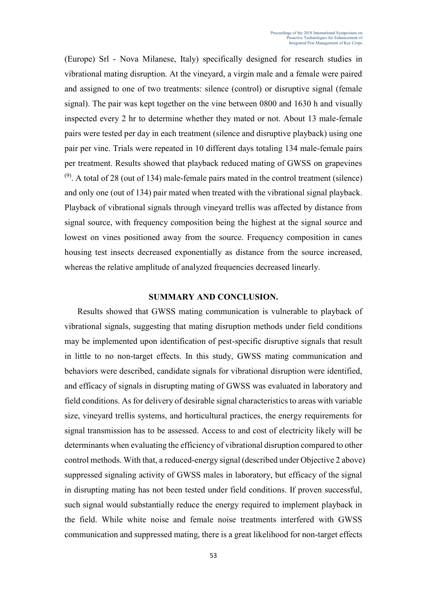(Europe) Srl - Nova Milanese, Italy) specifically designed for research studies in vibrational mating disruption. At the vineyard, a virgin male and a female were paired and assigned to one of two treatments: silence (control) or disruptive signal (female signal). The pair was kept together on the vine between 0800 and 1630 h and visually inspected every 2 hr to determine whether they mated or not. About 13 male-female pairs were tested per day in each treatment (silence and disruptive playback) using one pair per vine. Trials were repeated in 10 different days totaling 134 male-female pairs per treatment. Results showed that playback reduced mating of GWSS on grapevines  $(9)$ . A total of 28 (out of 134) male-female pairs mated in the control treatment (silence) and only one (out of 134) pair mated when treated with the vibrational signal playback. Playback of vibrational signals through vineyard trellis was affected by distance from signal source, with frequency composition being the highest at the signal source and lowest on vines positioned away from the source. Frequency composition in canes housing test insects decreased exponentially as distance from the source increased, whereas the relative amplitude of analyzed frequencies decreased linearly.

#### **SUMMARY AND CONCLUSION.**

Results showed that GWSS mating communication is vulnerable to playback of vibrational signals, suggesting that mating disruption methods under field conditions may be implemented upon identification of pest-specific disruptive signals that result in little to no non-target effects. In this study, GWSS mating communication and behaviors were described, candidate signals for vibrational disruption were identified, and efficacy of signals in disrupting mating of GWSS was evaluated in laboratory and field conditions. As for delivery of desirable signal characteristics to areas with variable size, vineyard trellis systems, and horticultural practices, the energy requirements for signal transmission has to be assessed. Access to and cost of electricity likely will be determinants when evaluating the efficiency of vibrational disruption compared to other control methods. With that, a reduced-energy signal (described under Objective 2 above) suppressed signaling activity of GWSS males in laboratory, but efficacy of the signal in disrupting mating has not been tested under field conditions. If proven successful, such signal would substantially reduce the energy required to implement playback in the field. While white noise and female noise treatments interfered with GWSS communication and suppressed mating, there is a great likelihood for non-target effects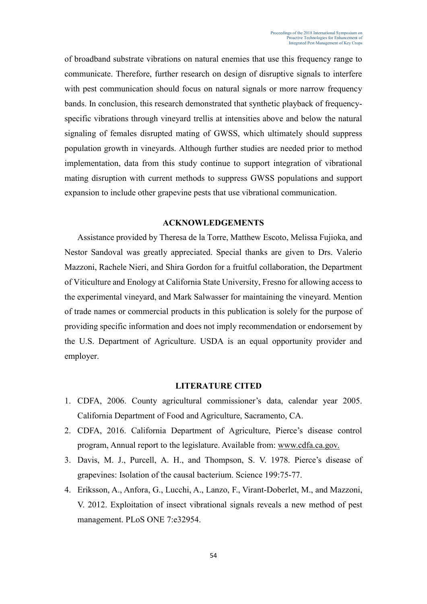of broadband substrate vibrations on natural enemies that use this frequency range to communicate. Therefore, further research on design of disruptive signals to interfere with pest communication should focus on natural signals or more narrow frequency bands. In conclusion, this research demonstrated that synthetic playback of frequencyspecific vibrations through vineyard trellis at intensities above and below the natural signaling of females disrupted mating of GWSS, which ultimately should suppress population growth in vineyards. Although further studies are needed prior to method implementation, data from this study continue to support integration of vibrational mating disruption with current methods to suppress GWSS populations and support expansion to include other grapevine pests that use vibrational communication.

#### **ACKNOWLEDGEMENTS**

Assistance provided by Theresa de la Torre, Matthew Escoto, Melissa Fujioka, and Nestor Sandoval was greatly appreciated. Special thanks are given to Drs. Valerio Mazzoni, Rachele Nieri, and Shira Gordon for a fruitful collaboration, the Department of Viticulture and Enology at California State University, Fresno for allowing access to the experimental vineyard, and Mark Salwasser for maintaining the vineyard. Mention of trade names or commercial products in this publication is solely for the purpose of providing specific information and does not imply recommendation or endorsement by the U.S. Department of Agriculture. USDA is an equal opportunity provider and employer.

#### **LITERATURE CITED**

- 1. CDFA, 2006. County agricultural commissioner's data, calendar year 2005. California Department of Food and Agriculture, Sacramento, CA.
- 2. CDFA, 2016. California Department of Agriculture, Pierce's disease control program, Annual report to the legislature. Available from: [www.cdfa.ca.gov.](http://www.cdfa.ca.gov/)
- 3. Davis, M. J., Purcell, A. H., and Thompson, S. V. 1978. Pierce's disease of grapevines: Isolation of the causal bacterium. Science 199:75-77.
- 4. Eriksson, A., Anfora, G., Lucchi, A., Lanzo, F., Virant-Doberlet, M., and Mazzoni, V. 2012. Exploitation of insect vibrational signals reveals a new method of pest management. PLoS ONE 7:e32954.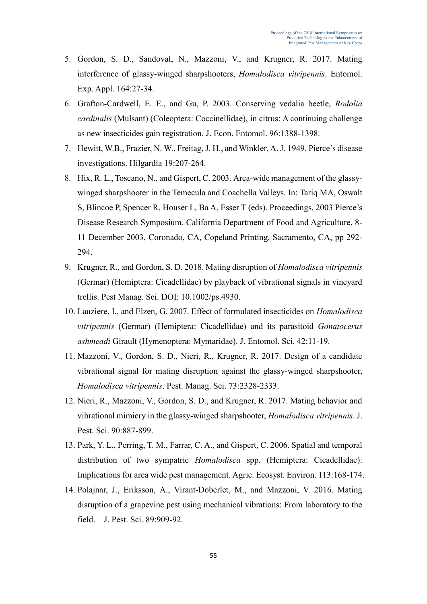- 5. Gordon, S. D., Sandoval, N., Mazzoni, V., and Krugner, R. 2017. Mating interference of glassy-winged sharpshooters, *Homalodisca vitripennis*. Entomol. Exp. Appl. 164:27-34.
- 6. Grafton-Cardwell, E. E., and Gu, P. 2003. Conserving vedalia beetle, *Rodolia cardinalis* (Mulsant) (Coleoptera: Coccinellidae), in citrus: A continuing challenge as new insecticides gain registration. J. Econ. Entomol. 96:1388-1398.
- 7. Hewitt, W.B., Frazier, N. W., Freitag, J. H., and Winkler, A. J. 1949. Pierce's disease investigations. Hilgardia 19:207-264.
- 8. Hix, R. L., Toscano, N., and Gispert, C. 2003. Area-wide management of the glassywinged sharpshooter in the Temecula and Coachella Valleys. In: Tariq MA, Oswalt S, Blincoe P, Spencer R, Houser L, Ba A, Esser T (eds). Proceedings, 2003 Pierce's Disease Research Symposium. California Department of Food and Agriculture, 8- 11 December 2003, Coronado, CA, Copeland Printing, Sacramento, CA, pp 292- 294.
- 9. Krugner, R., and Gordon, S. D. 2018. Mating disruption of *Homalodisca vitripennis* (Germar) (Hemiptera: Cicadellidae) by playback of vibrational signals in vineyard trellis. Pest Manag. Sci. DOI: 10.1002/ps.4930.
- 10. Lauziere, I., and Elzen, G. 2007. Effect of formulated insecticides on *Homalodisca vitripennis* (Germar) (Hemiptera: Cicadellidae) and its parasitoid *Gonatocerus ashmeadi* Girault (Hymenoptera: Mymaridae). J. Entomol. Sci. 42:11-19.
- 11. Mazzoni, V., Gordon, S. D., Nieri, R., Krugner, R. 2017. Design of a candidate vibrational signal for mating disruption against the glassy-winged sharpshooter, *Homalodisca vitripennis*. Pest. Manag. Sci. 73:2328-2333.
- 12. Nieri, R., Mazzoni, V., Gordon, S. D., and Krugner, R. 2017. Mating behavior and vibrational mimicry in the glassy-winged sharpshooter, *Homalodisca vitripennis*. J. Pest. Sci. 90:887-899.
- 13. Park, Y. L., Perring, T. M., Farrar, C. A., and Gispert, C. 2006. Spatial and temporal distribution of two sympatric *Homalodisca* spp. (Hemiptera: Cicadellidae): Implications for area wide pest management. Agric. Ecosyst. Environ. 113:168-174.
- 14. Polajnar, J., Eriksson, A., Virant-Doberlet, M., and Mazzoni, V. 2016. Mating disruption of a grapevine pest using mechanical vibrations: From laboratory to the field. J. Pest. Sci. 89:909-92.